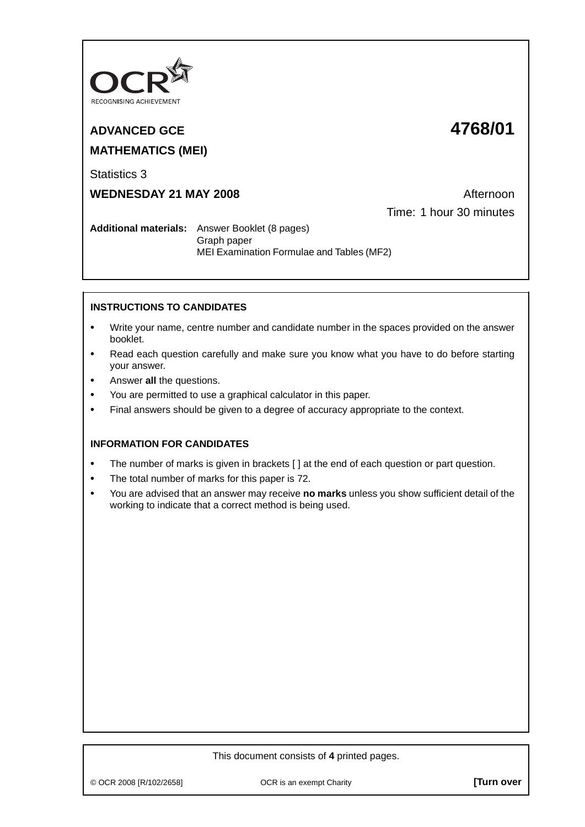

## **ADVANCED GCE 4768/01**

# **MATHEMATICS (MEI)**

Statistics 3

**WEDNESDAY 21 MAY 2008** Afternoon

Time: 1 hour 30 minutes

**Additional materials:** Answer Booklet (8 pages) Graph paper MEI Examination Formulae and Tables (MF2)

### **INSTRUCTIONS TO CANDIDATES**

- **•** Write your name, centre number and candidate number in the spaces provided on the answer booklet.
- **•** Read each question carefully and make sure you know what you have to do before starting your answer.
- **•** Answer **all** the questions.
- **•** You are permitted to use a graphical calculator in this paper.
- **•** Final answers should be given to a degree of accuracy appropriate to the context.

#### **INFORMATION FOR CANDIDATES**

- The number of marks is given in brackets [ ] at the end of each question or part question.
- **•** The total number of marks for this paper is 72.
- **•** You are advised that an answer may receive **no marks** unless you show sufficient detail of the working to indicate that a correct method is being used.

#### This document consists of **4** printed pages.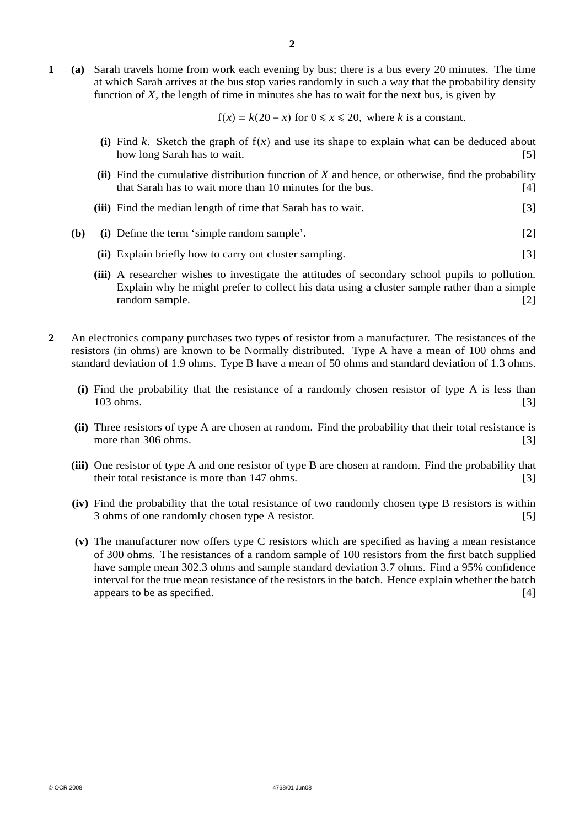**1 (a)** Sarah travels home from work each evening by bus; there is a bus every 20 minutes. The time at which Sarah arrives at the bus stop varies randomly in such a way that the probability density function of *X*, the length of time in minutes she has to wait for the next bus, is given by

f(*x*) = *k*(20 − *x*) for 0 ≤ *x* ≤ 20, where *k* is a constant.

- (i) Find *k*. Sketch the graph of  $f(x)$  and use its shape to explain what can be deduced about how long Sarah has to wait. [5] how long Sarah has to wait.
- **(ii)** Find the cumulative distribution function of *X* and hence, or otherwise, find the probability that Sarah has to wait more than 10 minutes for the bus. [4]
- **(iii)** Find the median length of time that Sarah has to wait. [3]
- **(b) (i)** Define the term 'simple random sample'. [2]
	- **(ii)** Explain briefly how to carry out cluster sampling. [3]
	- **(iii)** A researcher wishes to investigate the attitudes of secondary school pupils to pollution. Explain why he might prefer to collect his data using a cluster sample rather than a simple random sample. [2]
- **2** An electronics company purchases two types of resistor from a manufacturer. The resistances of the resistors (in ohms) are known to be Normally distributed. Type A have a mean of 100 ohms and standard deviation of 1.9 ohms. Type B have a mean of 50 ohms and standard deviation of 1.3 ohms.
	- **(i)** Find the probability that the resistance of a randomly chosen resistor of type A is less than 103 ohms. [3]
	- **(ii)** Three resistors of type A are chosen at random. Find the probability that their total resistance is more than 306 ohms. [3]
	- **(iii)** One resistor of type A and one resistor of type B are chosen at random. Find the probability that their total resistance is more than 147 ohms. [3]
	- **(iv)** Find the probability that the total resistance of two randomly chosen type B resistors is within 3 ohms of one randomly chosen type A resistor. [5]
	- **(v)** The manufacturer now offers type C resistors which are specified as having a mean resistance of 300 ohms. The resistances of a random sample of 100 resistors from the first batch supplied have sample mean 302.3 ohms and sample standard deviation 3.7 ohms. Find a 95% confidence interval for the true mean resistance of the resistors in the batch. Hence explain whether the batch appears to be as specified. [4]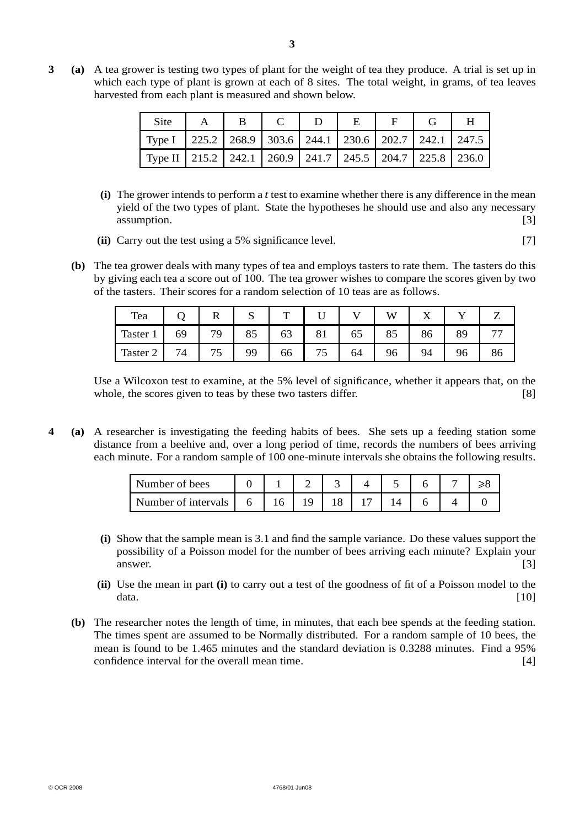**3 (a)** A tea grower is testing two types of plant for the weight of tea they produce. A trial is set up in which each type of plant is grown at each of 8 sites. The total weight, in grams, of tea leaves harvested from each plant is measured and shown below.

| <b>Site</b>                                                             | $\mathbf{A}$ | $\mathbf{B}$ | D | E |  |  |
|-------------------------------------------------------------------------|--------------|--------------|---|---|--|--|
| Type I   225.2   268.9   303.6   244.1   230.6   202.7   242.1   247.5  |              |              |   |   |  |  |
| Type II   215.2   242.1   260.9   241.7   245.5   204.7   225.8   236.0 |              |              |   |   |  |  |

- **(i)** The grower intends to perform a *t* test to examine whether there is any difference in the mean yield of the two types of plant. State the hypotheses he should use and also any necessary assumption. [3] **assumption** [3]
- **(ii)** Carry out the test using a 5% significance level. [7]
- **(b)** The tea grower deals with many types of tea and employs tasters to rate them. The tasters do this by giving each tea a score out of 100. The tea grower wishes to compare the scores given by two of the tasters. Their scores for a random selection of 10 teas are as follows.

| Tea      |    |    | N  | m  |     |    | W  | ∡⊾ |    |    |
|----------|----|----|----|----|-----|----|----|----|----|----|
| Taster 1 | 69 | 79 | 85 | 63 | 81  | 65 | 85 | 86 | 89 |    |
| Taster 2 | 74 | D. | 99 | 66 | ر ' | 64 | 96 | 94 | 96 | 86 |

Use a Wilcoxon test to examine, at the 5% level of significance, whether it appears that, on the whole, the scores given to teas by these two tasters differ. [8]

**4 (a)** A researcher is investigating the feeding habits of bees. She sets up a feeding station some distance from a beehive and, over a long period of time, records the numbers of bees arriving each minute. For a random sample of 100 one-minute intervals she obtains the following results.

| Number of bees      |   |  |  |  |  |
|---------------------|---|--|--|--|--|
| Number of intervals | 6 |  |  |  |  |

- **(i)** Show that the sample mean is 3.1 and find the sample variance. Do these values support the possibility of a Poisson model for the number of bees arriving each minute? Explain your answer. [3]
- **(ii)** Use the mean in part **(i)** to carry out a test of the goodness of fit of a Poisson model to the data.  $[10]$
- **(b)** The researcher notes the length of time, in minutes, that each bee spends at the feeding station. The times spent are assumed to be Normally distributed. For a random sample of 10 bees, the mean is found to be 1.465 minutes and the standard deviation is 0.3288 minutes. Find a 95% confidence interval for the overall mean time. [4]